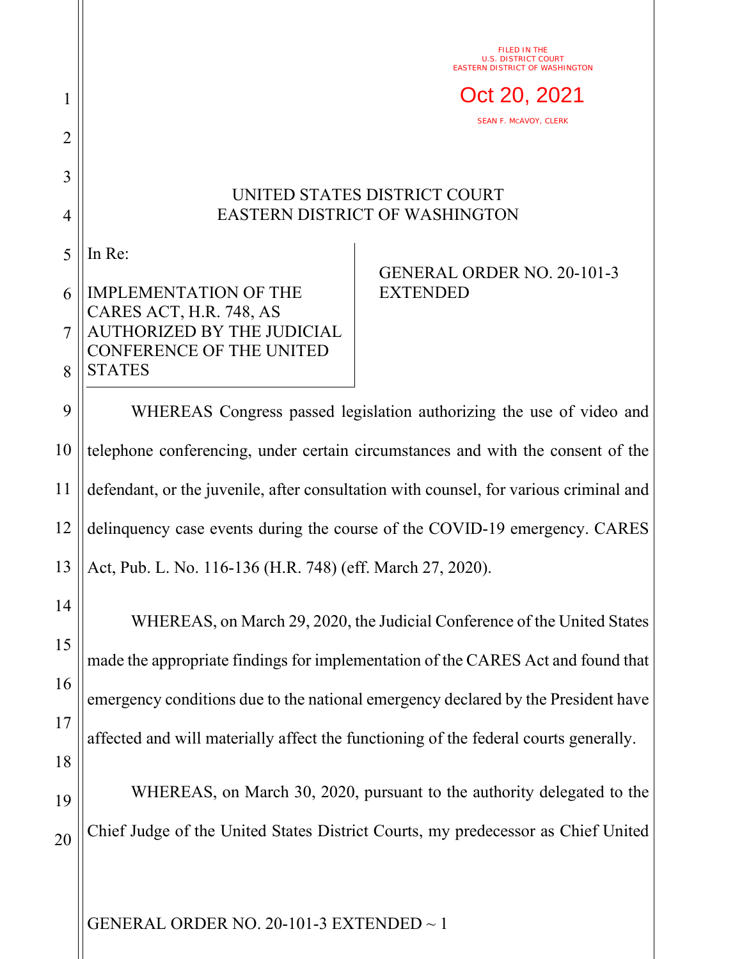FILED IN THE U.S. DISTRICT COURT EASTERN DISTRICT OF WASHINGTON

Oct 20, 2021

SEAN F. MCAVOY, CLERK

## UNITED STATES DISTRICT COURT EASTERN DISTRICT OF WASHINGTON

5 In Re:

1

2

3

4

## 6 7 8 IMPLEMENTATION OF THE CARES ACT, H.R. 748, AS AUTHORIZED BY THE JUDICIAL CONFERENCE OF THE UNITED **STATES**

## GENERAL ORDER NO. 20-101-3 EXTENDED

9 10 11 12 13 WHEREAS Congress passed legislation authorizing the use of video and telephone conferencing, under certain circumstances and with the consent of the defendant, or the juvenile, after consultation with counsel, for various criminal and delinquency case events during the course of the COVID-19 emergency. CARES Act, Pub. L. No. 116-136 (H.R. 748) (eff. March 27, 2020).

14 15 16 17 18 19 WHEREAS, on March 29, 2020, the Judicial Conference of the United States made the appropriate findings for implementation of the CARES Act and found that emergency conditions due to the national emergency declared by the President have affected and will materially affect the functioning of the federal courts generally. WHEREAS, on March 30, 2020, pursuant to the authority delegated to the

20 Chief Judge of the United States District Courts, my predecessor as Chief United

GENERAL ORDER NO. 20-101-3 EXTENDED ~ 1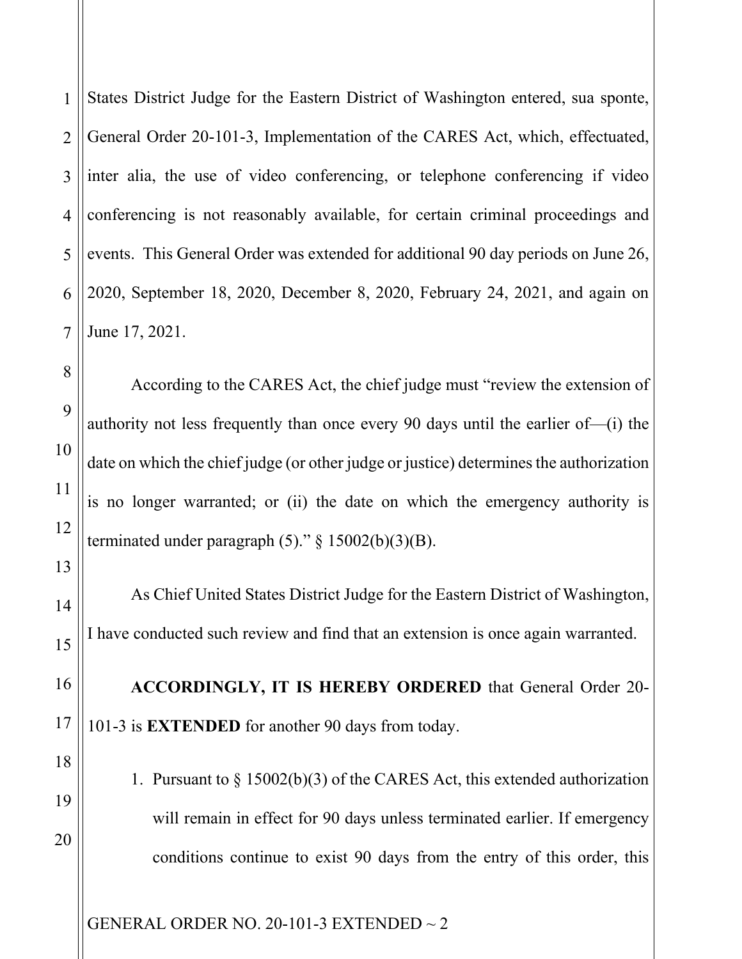1 2 3 4 5 States District Judge for the Eastern District of Washington entered, sua sponte, General Order 20-101-3, Implementation of the CARES Act, which, effectuated, inter alia, the use of video conferencing, or telephone conferencing if video conferencing is not reasonably available, for certain criminal proceedings and events. This General Order was extended for additional 90 day periods on June 26, 2020, September 18, 2020, December 8, 2020, February 24, 2021, and again on June 17, 2021.

According to the CARES Act, the chief judge must "review the extension of authority not less frequently than once every 90 days until the earlier of—(i) the date on which the chief judge (or other judge or justice) determines the authorization is no longer warranted; or (ii) the date on which the emergency authority is terminated under paragraph  $(5)$ ." § 15002(b)(3)(B).

As Chief United States District Judge for the Eastern District of Washington, I have conducted such review and find that an extension is once again warranted.

**ACCORDINGLY, IT IS HEREBY ORDERED** that General Order 20- 101-3 is **EXTENDED** for another 90 days from today.

1. Pursuant to § 15002(b)(3) of the CARES Act, this extended authorization will remain in effect for 90 days unless terminated earlier. If emergency conditions continue to exist 90 days from the entry of this order, this

GENERAL ORDER NO. 20-101-3 EXTENDED ~ 2